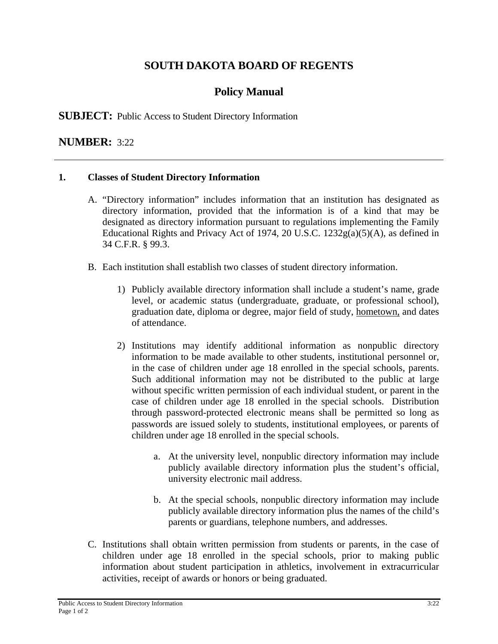# **SOUTH DAKOTA BOARD OF REGENTS**

# **Policy Manual**

### **SUBJECT:** Public Access to Student Directory Information

### **NUMBER:** 3:22

#### **1. Classes of Student Directory Information**

- A. "Directory information" includes information that an institution has designated as directory information, provided that the information is of a kind that may be designated as directory information pursuant to regulations implementing the Family Educational Rights and Privacy Act of 1974, 20 U.S.C.  $1232g(a)(5)(A)$ , as defined in 34 C.F.R. § 99.3.
- B. Each institution shall establish two classes of student directory information.
	- 1) Publicly available directory information shall include a student's name, grade level, or academic status (undergraduate, graduate, or professional school), graduation date, diploma or degree, major field of study, hometown, and dates of attendance.
	- 2) Institutions may identify additional information as nonpublic directory information to be made available to other students, institutional personnel or, in the case of children under age 18 enrolled in the special schools, parents. Such additional information may not be distributed to the public at large without specific written permission of each individual student, or parent in the case of children under age 18 enrolled in the special schools. Distribution through password-protected electronic means shall be permitted so long as passwords are issued solely to students, institutional employees, or parents of children under age 18 enrolled in the special schools.
		- a. At the university level, nonpublic directory information may include publicly available directory information plus the student's official, university electronic mail address.
		- b. At the special schools, nonpublic directory information may include publicly available directory information plus the names of the child's parents or guardians, telephone numbers, and addresses.
- C. Institutions shall obtain written permission from students or parents, in the case of children under age 18 enrolled in the special schools, prior to making public information about student participation in athletics, involvement in extracurricular activities, receipt of awards or honors or being graduated.